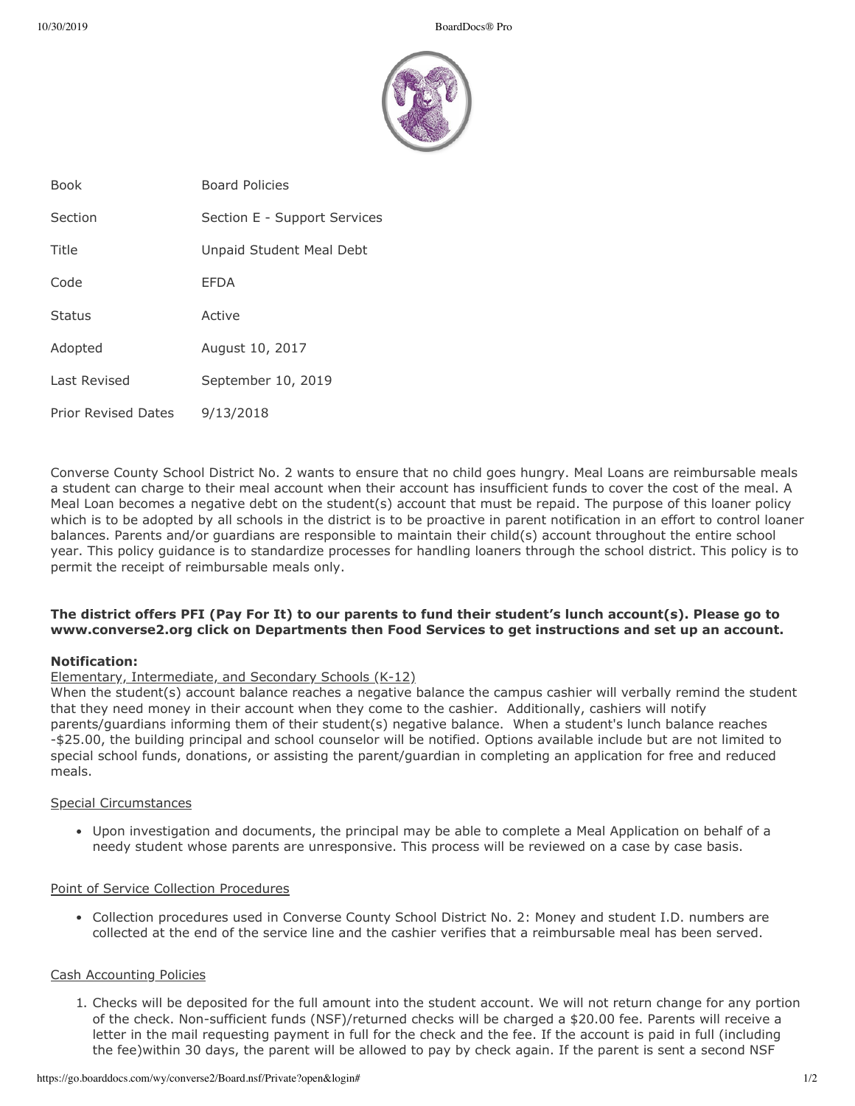

| <b>Book</b>                | <b>Board Policies</b>        |
|----------------------------|------------------------------|
| Section                    | Section E - Support Services |
| Title                      | Unpaid Student Meal Debt     |
| Code                       | <b>EFDA</b>                  |
| <b>Status</b>              | Active                       |
| Adopted                    | August 10, 2017              |
| Last Revised               | September 10, 2019           |
| <b>Prior Revised Dates</b> | 9/13/2018                    |

Converse County School District No. 2 wants to ensure that no child goes hungry. Meal Loans are reimbursable meals a student can charge to their meal account when their account has insufficient funds to cover the cost of the meal. A Meal Loan becomes a negative debt on the student(s) account that must be repaid. The purpose of this loaner policy which is to be adopted by all schools in the district is to be proactive in parent notification in an effort to control loaner balances. Parents and/or guardians are responsible to maintain their child(s) account throughout the entire school year. This policy guidance is to standardize processes for handling loaners through the school district. This policy is to permit the receipt of reimbursable meals only.

# **The district offers PFI (Pay For It) to our parents to fund their student's lunch account(s). Please go to www.converse2.org click on Departments then Food Services to get instructions and set up an account.**

# **Notification:**

# Elementary, Intermediate, and Secondary Schools (K-12)

When the student(s) account balance reaches a negative balance the campus cashier will verbally remind the student that they need money in their account when they come to the cashier. Additionally, cashiers will notify parents/guardians informing them of their student(s) negative balance. When a student's lunch balance reaches -\$25.00, the building principal and school counselor will be notified. Options available include but are not limited to special school funds, donations, or assisting the parent/guardian in completing an application for free and reduced meals.

# Special Circumstances

Upon investigation and documents, the principal may be able to complete a Meal Application on behalf of a needy student whose parents are unresponsive. This process will be reviewed on a case by case basis.

# Point of Service Collection Procedures

Collection procedures used in Converse County School District No. 2: Money and student I.D. numbers are collected at the end of the service line and the cashier verifies that a reimbursable meal has been served.

# Cash Accounting Policies

1. Checks will be deposited for the full amount into the student account. We will not return change for any portion of the check. Non-sufficient funds (NSF)/returned checks will be charged a \$20.00 fee. Parents will receive a letter in the mail requesting payment in full for the check and the fee. If the account is paid in full (including the fee)within 30 days, the parent will be allowed to pay by check again. If the parent is sent a second NSF